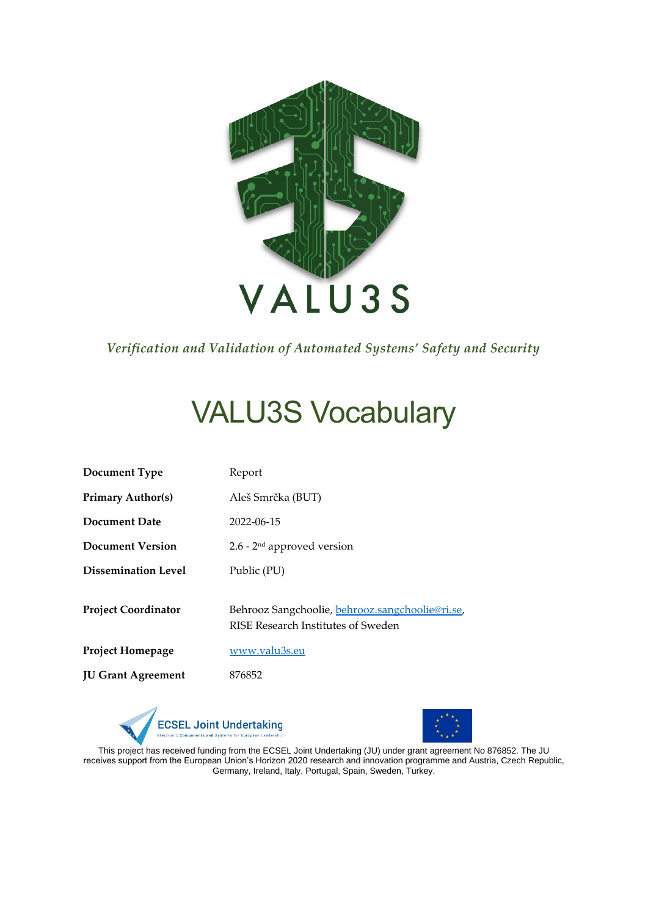

*Verification and Validation of Automated Systems' Safety and Security*

# VALU3S Vocabulary

| Document Type              | Report                                                                                |  |
|----------------------------|---------------------------------------------------------------------------------------|--|
| <b>Primary Author(s)</b>   | Aleš Smrčka (BUT)                                                                     |  |
| Document Date              | 2022-06-15                                                                            |  |
| Document Version           | $2.6$ - $2nd$ approved version                                                        |  |
| <b>Dissemination Level</b> | Public (PU)                                                                           |  |
| <b>Project Coordinator</b> | Behrooz Sangchoolie, behrooz.sangchoolie@ri.se,<br>RISE Research Institutes of Sweden |  |
| <b>Project Homepage</b>    | www.valu3s.eu                                                                         |  |
| <b>JU Grant Agreement</b>  | 876852                                                                                |  |
|                            |                                                                                       |  |





This project has received funding from the ECSEL Joint Undertaking (JU) under grant agreement No 876852. The JU receives support from the European Union's Horizon 2020 research and innovation programme and Austria, Czech Republic, Germany, Ireland, Italy, Portugal, Spain, Sweden, Turkey.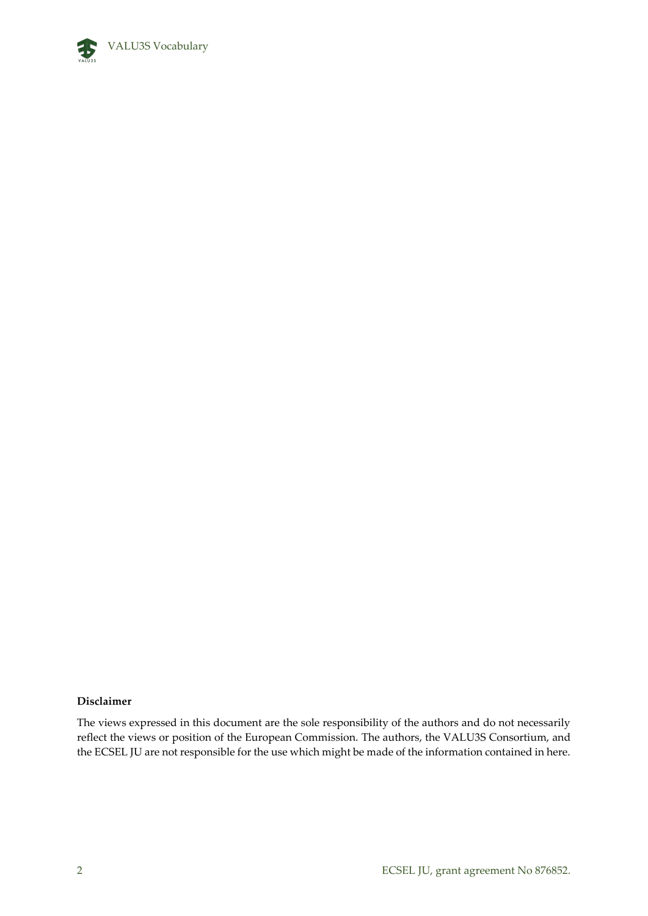

#### **Disclaimer**

The views expressed in this document are the sole responsibility of the authors and do not necessarily reflect the views or position of the European Commission. The authors, the VALU3S Consortium, and the ECSEL JU are not responsible for the use which might be made of the information contained in here.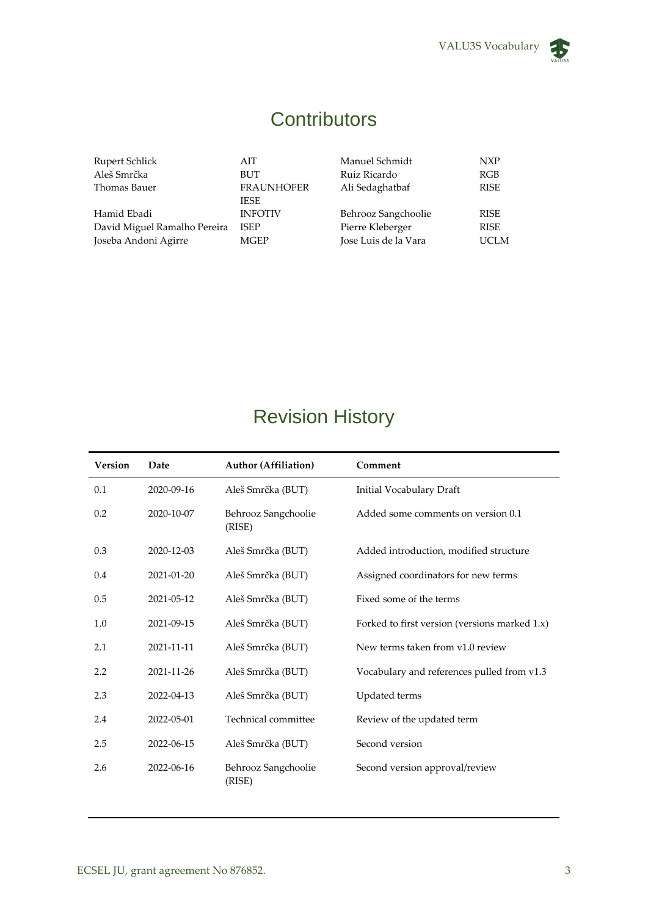

## **Contributors**

Rupert Schlick AIT Manuel Schmidt NXP Aleš Smrčka BUT Ruiz Ricardo RGB **FRAUNHOFER** IESE Ali Sedaghatbaf Hamid Ebadi INFOTIV Behrooz Sangchoolie RISE David Miguel Ramalho Pereira ISEP Pierre Kleberger RISE Joseba Andoni Agirre MGEP Jose Luis de la Vara UCLM

### Revision History

| <b>Version</b> | Date       | <b>Author (Affiliation)</b>   | Comment                                       |
|----------------|------------|-------------------------------|-----------------------------------------------|
| 0.1            | 2020-09-16 | Aleš Smrčka (BUT)             | Initial Vocabulary Draft                      |
| 0.2            | 2020-10-07 | Behrooz Sangchoolie<br>(RISE) | Added some comments on version 0.1            |
| 0.3            | 2020-12-03 | Aleš Smrčka (BUT)             | Added introduction, modified structure        |
| 0.4            | 2021-01-20 | Aleš Smrčka (BUT)             | Assigned coordinators for new terms           |
| 0.5            | 2021-05-12 | Aleš Smrčka (BUT)             | Fixed some of the terms                       |
| 1.0            | 2021-09-15 | Aleš Smrčka (BUT)             | Forked to first version (versions marked 1.x) |
| 2.1            | 2021-11-11 | Aleš Smrčka (BUT)             | New terms taken from v1.0 review              |
| 2.2            | 2021-11-26 | Aleš Smrčka (BUT)             | Vocabulary and references pulled from v1.3    |
| 2.3            | 2022-04-13 | Aleš Smrčka (BUT)             | Updated terms                                 |
| 2.4            | 2022-05-01 | Technical committee           | Review of the updated term                    |
| 2.5            | 2022-06-15 | Aleš Smrčka (BUT)             | Second version                                |
| 2.6            | 2022-06-16 | Behrooz Sangchoolie<br>(RISE) | Second version approval/review                |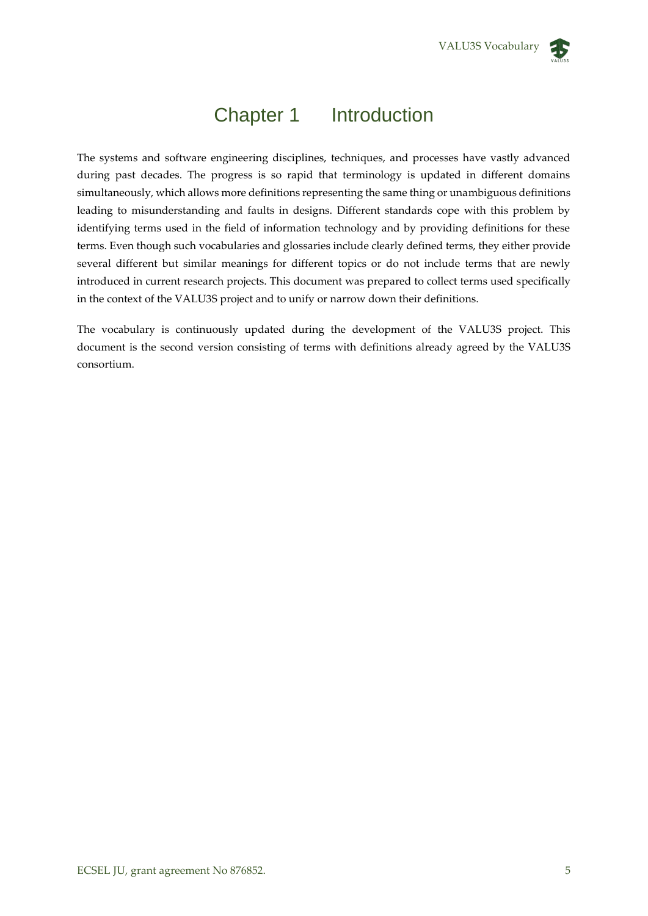

### Chapter 1 Introduction

The systems and software engineering disciplines, techniques, and processes have vastly advanced during past decades. The progress is so rapid that terminology is updated in different domains simultaneously, which allows more definitions representing the same thing or unambiguous definitions leading to misunderstanding and faults in designs. Different standards cope with this problem by identifying terms used in the field of information technology and by providing definitions for these terms. Even though such vocabularies and glossaries include clearly defined terms, they either provide several different but similar meanings for different topics or do not include terms that are newly introduced in current research projects. This document was prepared to collect terms used specifically in the context of the VALU3S project and to unify or narrow down their definitions.

The vocabulary is continuously updated during the development of the VALU3S project. This document is the second version consisting of terms with definitions already agreed by the VALU3S consortium.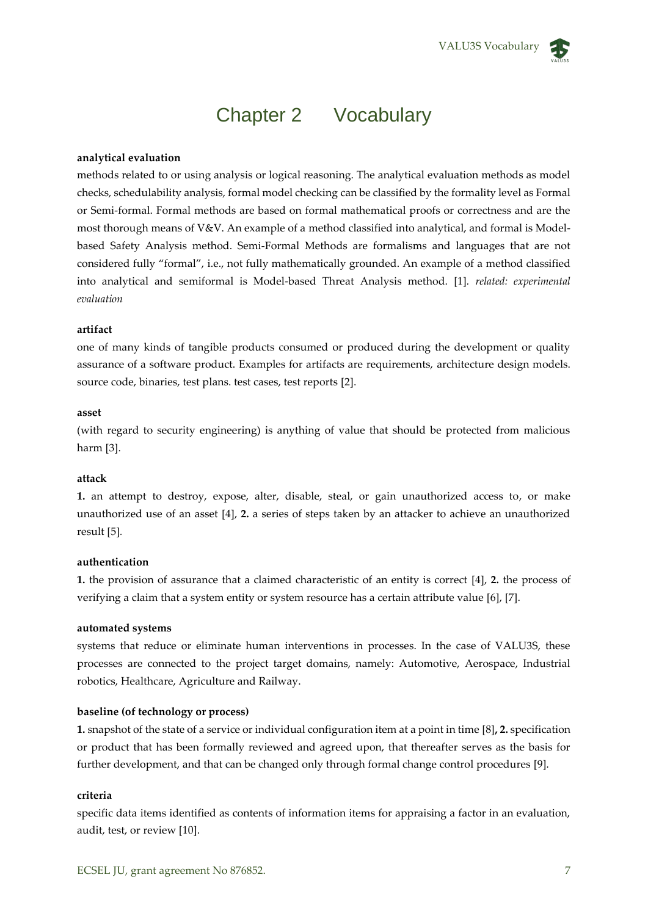

### Chapter 2 Vocabulary

#### **analytical evaluation**

methods related to or using analysis or logical reasoning. The analytical evaluation methods as model checks, schedulability analysis, formal model checking can be classified by the formality level as Formal or Semi-formal. Formal methods are based on formal mathematical proofs or correctness and are the most thorough means of V&V. An example of a method classified into analytical, and formal is Modelbased Safety Analysis method. Semi-Formal Methods are formalisms and languages that are not considered fully "formal", i.e., not fully mathematically grounded. An example of a method classified into analytical and semiformal is Model-based Threat Analysis method. [1]*. related: experimental evaluation*

#### **artifact**

one of many kinds of tangible products consumed or produced during the development or quality assurance of a software product. Examples for artifacts are requirements, architecture design models. source code, binaries, test plans. test cases, test reports [2].

#### **asset**

(with regard to security engineering) is anything of value that should be protected from malicious harm [3].

#### **attack**

**1.** an attempt to destroy, expose, alter, disable, steal, or gain unauthorized access to, or make unauthorized use of an asset [4], **2.** a series of steps taken by an attacker to achieve an unauthorized result [5]*.*

#### **authentication**

**1.** the provision of assurance that a claimed characteristic of an entity is correct [4], **2.** the process of verifying a claim that a system entity or system resource has a certain attribute value [6], [7].

#### **automated systems**

systems that reduce or eliminate human interventions in processes. In the case of VALU3S, these processes are connected to the project target domains, namely: Automotive, Aerospace, Industrial robotics, Healthcare, Agriculture and Railway.

#### **baseline (of technology or process)**

**1.** snapshot of the state of a service or individual configuration item at a point in time [8]**, 2.** specification or product that has been formally reviewed and agreed upon, that thereafter serves as the basis for further development, and that can be changed only through formal change control procedures [9]*.*

#### **criteria**

specific data items identified as contents of information items for appraising a factor in an evaluation, audit, test, or review [10].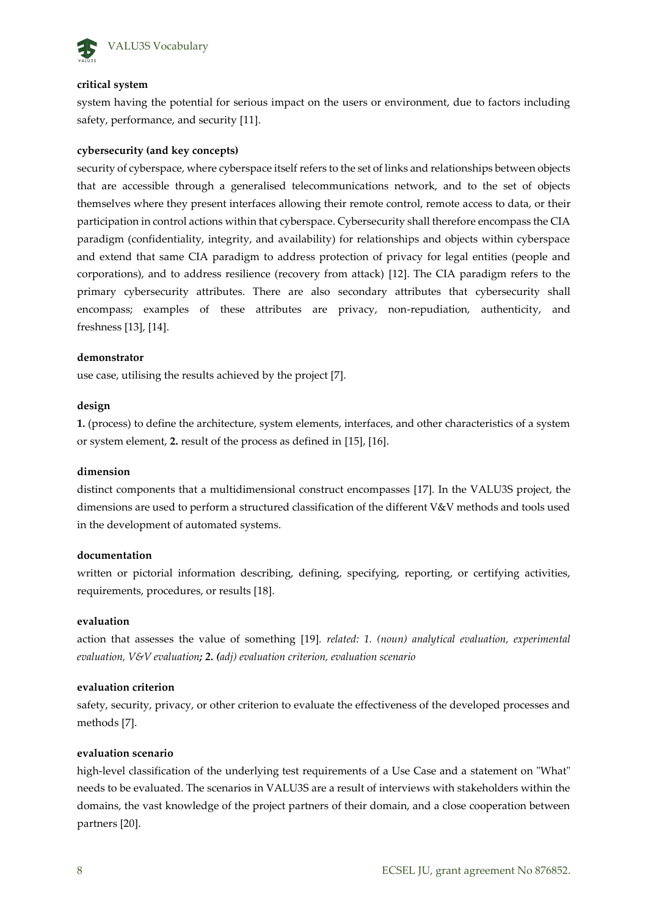

#### **critical system**

system having the potential for serious impact on the users or environment, due to factors including safety, performance, and security [11].

#### **cybersecurity (and key concepts)**

security of cyberspace, where cyberspace itself refers to the set of links and relationships between objects that are accessible through a generalised telecommunications network, and to the set of objects themselves where they present interfaces allowing their remote control, remote access to data, or their participation in control actions within that cyberspace. Cybersecurity shall therefore encompass the CIA paradigm (confidentiality, integrity, and availability) for relationships and objects within cyberspace and extend that same CIA paradigm to address protection of privacy for legal entities (people and corporations), and to address resilience (recovery from attack) [12]. The CIA paradigm refers to the primary cybersecurity attributes. There are also secondary attributes that cybersecurity shall encompass; examples of these attributes are privacy, non-repudiation, authenticity, and freshness [13], [14].

#### **demonstrator**

use case, utilising the results achieved by the project [7].

#### **design**

**1.** (process) to define the architecture, system elements, interfaces, and other characteristics of a system or system element, **2.** result of the process as defined in [15], [16].

#### **dimension**

distinct components that a multidimensional construct encompasses [17]*.* In the VALU3S project, the dimensions are used to perform a structured classification of the different V&V methods and tools used in the development of automated systems.

#### **documentation**

written or pictorial information describing, defining, specifying, reporting, or certifying activities, requirements, procedures, or results [18].

#### **evaluation**

action that assesses the value of something [19]*. related: 1. (noun) analytical evaluation, experimental evaluation, V&V evaluation; 2. (adj) evaluation criterion, evaluation scenario*

#### **evaluation criterion**

safety, security, privacy, or other criterion to evaluate the effectiveness of the developed processes and methods [7].

#### **evaluation scenario**

high-level classification of the underlying test requirements of a Use Case and a statement on "What" needs to be evaluated. The scenarios in VALU3S are a result of interviews with stakeholders within the domains, the vast knowledge of the project partners of their domain, and a close cooperation between partners [20].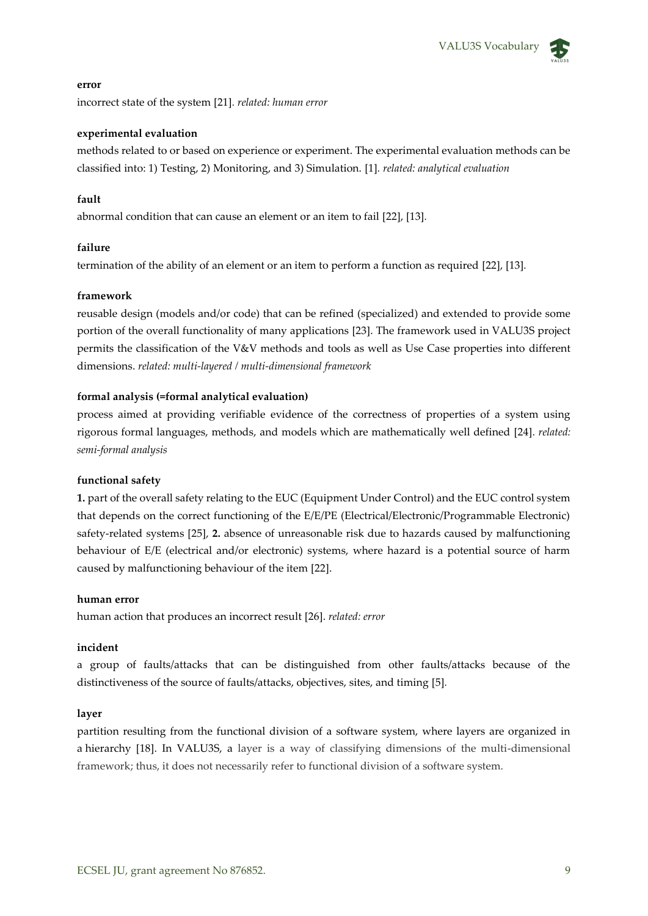#### **error**

incorrect state of the system [21]*. related: human error*

#### **experimental evaluation**

methods related to or based on experience or experiment. The experimental evaluation methods can be classified into: 1) Testing, 2) Monitoring, and 3) Simulation. [1]*. related: analytical evaluation*

#### **fault**

abnormal condition that can cause an element or an item to fail [22], [13]*.*

#### **failure**

termination of the ability of an element or an item to perform a function as required [22], [13]*.*

#### **framework**

reusable design (models and/or code) that can be refined (specialized) and extended to provide some portion of the overall functionality of many applications [23]. The framework used in VALU3S project permits the classification of the V&V methods and tools as well as Use Case properties into different dimensions. *related: multi-layered / multi-dimensional framework*

#### **formal analysis (=formal analytical evaluation)**

process aimed at providing verifiable evidence of the correctness of properties of a system using rigorous formal languages, methods, and models which are mathematically well defined [24]. *related: semi-formal analysis*

#### **functional safety**

**1.** part of the overall safety relating to the EUC (Equipment Under Control) and the EUC control system that depends on the correct functioning of the E/E/PE (Electrical/Electronic/Programmable Electronic) safety-related systems [25], **2.** absence of unreasonable risk due to hazards caused by malfunctioning behaviour of E/E (electrical and/or electronic) systems, where hazard is a potential source of harm caused by malfunctioning behaviour of the item [22].

#### **human error**

human action that produces an incorrect result [26]. *related: error*

#### **incident**

a group of faults/attacks that can be distinguished from other faults/attacks because of the distinctiveness of the source of faults/attacks, objectives, sites, and timing [5]*.*

#### **layer**

partition resulting from the functional division of a software system, where layers are organized in a hierarchy [18]. In VALU3S, a layer is a way of classifying dimensions of the multi-dimensional framework; thus, it does not necessarily refer to functional division of a software system.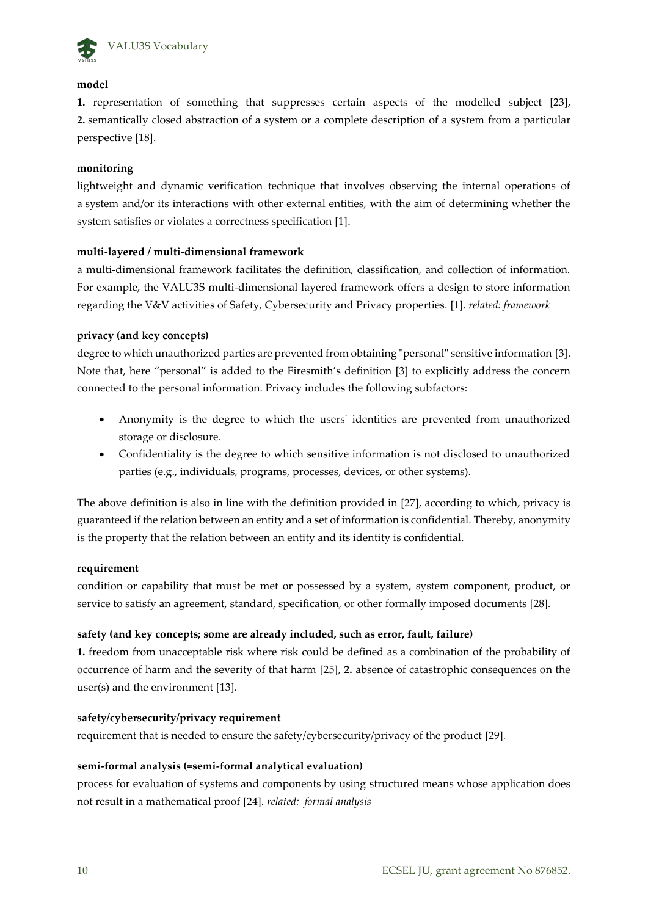

#### **model**

**1.** representation of something that suppresses certain aspects of the modelled subject [23], **2.** semantically closed abstraction of a system or a complete description of a system from a particular perspective [18].

#### **monitoring**

lightweight and dynamic verification technique that involves observing the internal operations of a system and/or its interactions with other external entities, with the aim of determining whether the system satisfies or violates a correctness specification [1].

#### **multi-layered / multi-dimensional framework**

a multi-dimensional framework facilitates the definition, classification, and collection of information. For example, the VALU3S multi-dimensional layered framework offers a design to store information regarding the V&V activities of Safety, Cybersecurity and Privacy properties. [1]. *related: framework*

#### **privacy (and key concepts)**

degree to which unauthorized parties are prevented from obtaining "personal" sensitive information [3]. Note that, here "personal" is added to the Firesmith's definition [3] to explicitly address the concern connected to the personal information. Privacy includes the following subfactors:

- Anonymity is the degree to which the users' identities are prevented from unauthorized storage or disclosure.
- Confidentiality is the degree to which sensitive information is not disclosed to unauthorized parties (e.g., individuals, programs, processes, devices, or other systems).

The above definition is also in line with the definition provided in [27], according to which, privacy is guaranteed if the relation between an entity and a set of information is confidential. Thereby, anonymity is the property that the relation between an entity and its identity is confidential.

#### **requirement**

condition or capability that must be met or possessed by a system, system component, product, or service to satisfy an agreement, standard, specification, or other formally imposed documents [28]*.*

### **safety (and key concepts; some are already included, such as error, fault, failure)**

**1.** freedom from unacceptable risk where risk could be defined as a combination of the probability of occurrence of harm and the severity of that harm [25], **2.** absence of catastrophic consequences on the user(s) and the environment [13].

#### **safety/cybersecurity/privacy requirement**

requirement that is needed to ensure the safety/cybersecurity/privacy of the product [29]*.*

### **semi-formal analysis (=semi-formal analytical evaluation)**

process for evaluation of systems and components by using structured means whose application does not result in a mathematical proof [24]*. related: formal analysis*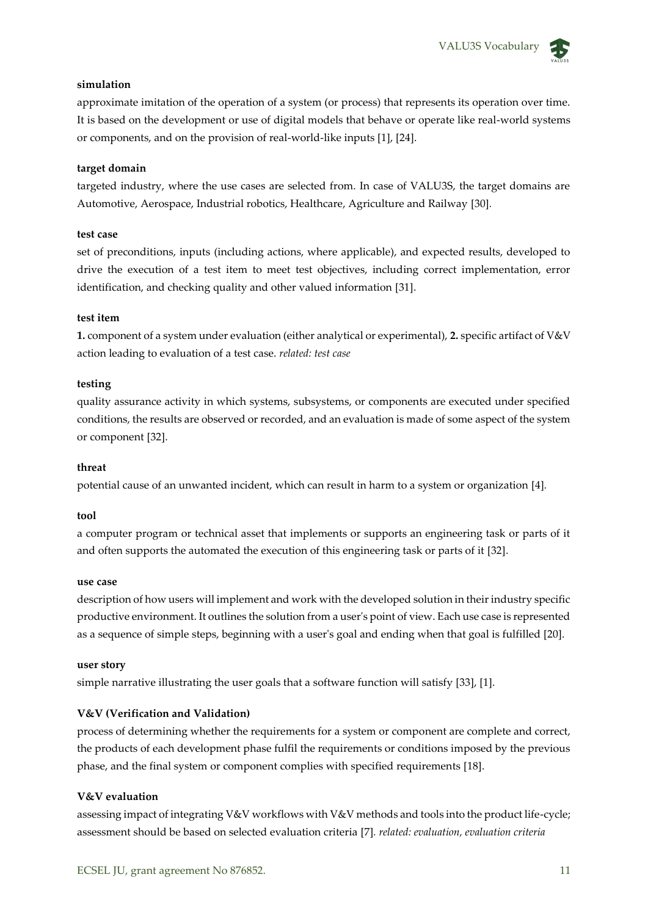#### **simulation**

approximate imitation of the operation of a system (or process) that represents its operation over time. It is based on the development or use of digital models that behave or operate like real-world systems or components, and on the provision of real-world-like inputs [1], [24].

#### **target domain**

targeted industry, where the use cases are selected from. In case of VALU3S, the target domains are Automotive, Aerospace, Industrial robotics, Healthcare, Agriculture and Railway [30]*.*

#### **test case**

set of preconditions, inputs (including actions, where applicable), and expected results, developed to drive the execution of a test item to meet test objectives, including correct implementation, error identification, and checking quality and other valued information [31].

#### **test item**

**1.** component of a system under evaluation (either analytical or experimental), **2.** specific artifact of V&V action leading to evaluation of a test case. *related: test case*

#### **testing**

quality assurance activity in which systems, subsystems, or components are executed under specified conditions, the results are observed or recorded, and an evaluation is made of some aspect of the system or component [32].

#### **threat**

potential cause of an unwanted incident, which can result in harm to a system or organization [4]*.*

#### **tool**

a computer program or technical asset that implements or supports an engineering task or parts of it and often supports the automated the execution of this engineering task or parts of it [32].

#### **use case**

description of how users will implement and work with the developed solution in their industry specific productive environment. It outlines the solution from a user's point of view. Each use case is represented as a sequence of simple steps, beginning with a user's goal and ending when that goal is fulfilled [20].

#### **user story**

simple narrative illustrating the user goals that a software function will satisfy [33], [1].

#### **V&V (Verification and Validation)**

process of determining whether the requirements for a system or component are complete and correct, the products of each development phase fulfil the requirements or conditions imposed by the previous phase, and the final system or component complies with specified requirements [18].

#### **V&V evaluation**

assessing impact of integrating V&V workflows with V&V methods and tools into the product life-cycle; assessment should be based on selected evaluation criteria [7]*. related: evaluation, evaluation criteria*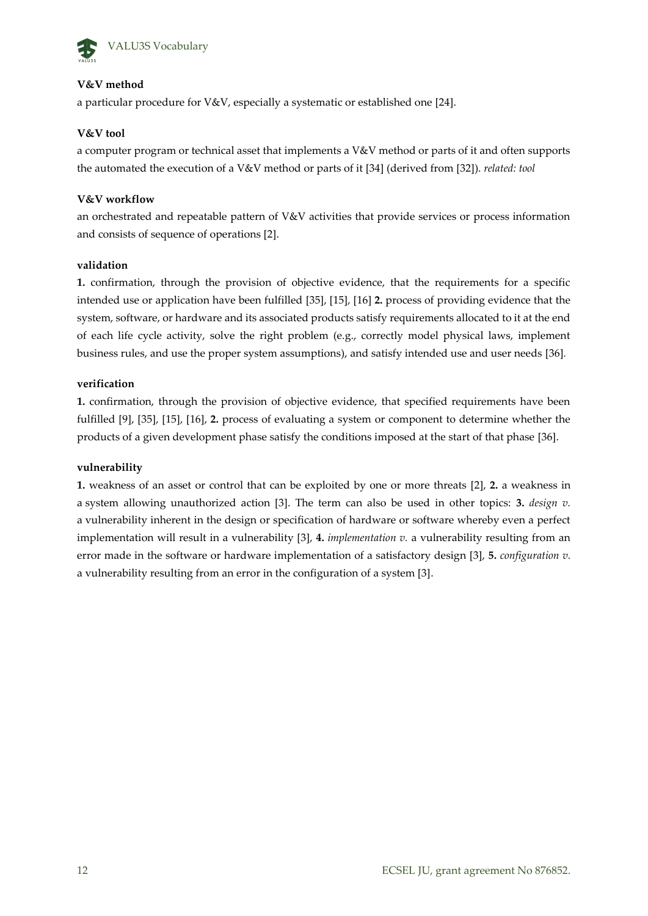

### **V&V method**

a particular procedure for V&V, especially a systematic or established one [24].

#### **V&V tool**

a computer program or technical asset that implements a V&V method or parts of it and often supports the automated the execution of a V&V method or parts of it [34] (derived from [32]). *related: tool*

#### **V&V workflow**

an orchestrated and repeatable pattern of V&V activities that provide services or process information and consists of sequence of operations [2].

#### **validation**

**1.** confirmation, through the provision of objective evidence, that the requirements for a specific intended use or application have been fulfilled [35], [15], [16] **2.** process of providing evidence that the system, software, or hardware and its associated products satisfy requirements allocated to it at the end of each life cycle activity, solve the right problem (e.g., correctly model physical laws, implement business rules, and use the proper system assumptions), and satisfy intended use and user needs [36]*.*

#### **verification**

**1.** confirmation, through the provision of objective evidence, that specified requirements have been fulfilled [9], [35], [15], [16], **2.** process of evaluating a system or component to determine whether the products of a given development phase satisfy the conditions imposed at the start of that phase [36].

#### **vulnerability**

**1.** weakness of an asset or control that can be exploited by one or more threats [2], **2.** a weakness in a system allowing unauthorized action [3]. The term can also be used in other topics: **3.** *design v.*  a vulnerability inherent in the design or specification of hardware or software whereby even a perfect implementation will result in a vulnerability [3], **4.** *implementation v.* a vulnerability resulting from an error made in the software or hardware implementation of a satisfactory design [3], **5.** *configuration v.* a vulnerability resulting from an error in the configuration of a system [3].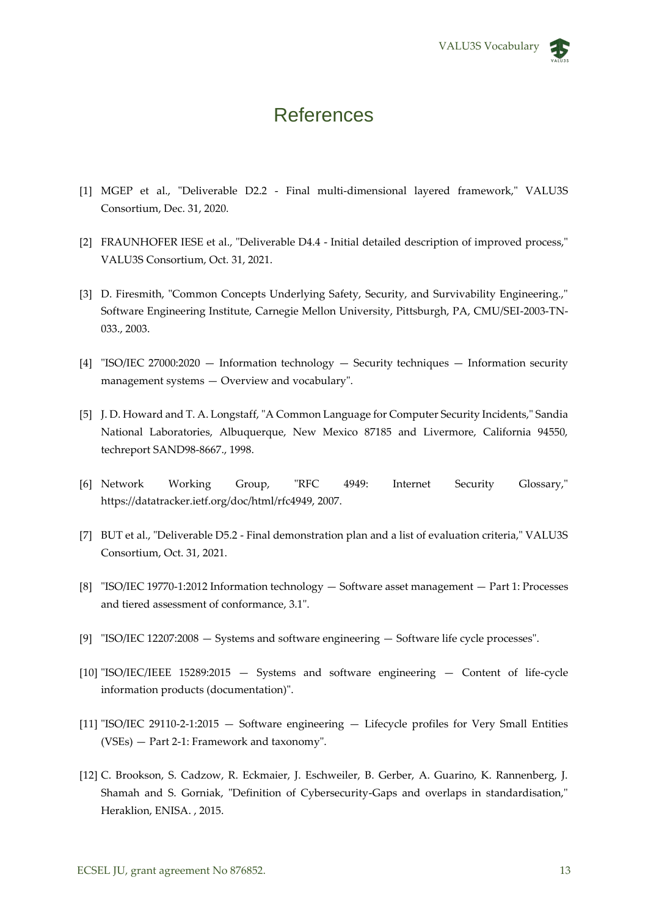### **References**

- [1] MGEP et al., "Deliverable D2.2 Final multi-dimensional layered framework," VALU3S Consortium, Dec. 31, 2020.
- [2] FRAUNHOFER IESE et al., "Deliverable D4.4 Initial detailed description of improved process," VALU3S Consortium, Oct. 31, 2021.
- [3] D. Firesmith, "Common Concepts Underlying Safety, Security, and Survivability Engineering.," Software Engineering Institute, Carnegie Mellon University, Pittsburgh, PA, CMU/SEI-2003-TN-033., 2003.
- [4] "ISO/IEC 27000:2020 Information technology Security techniques Information security management systems — Overview and vocabulary".
- [5] J. D. Howard and T. A. Longstaff, "A Common Language for Computer Security Incidents," Sandia National Laboratories, Albuquerque, New Mexico 87185 and Livermore, California 94550, techreport SAND98-8667., 1998.
- [6] Network Working Group, "RFC 4949: Internet Security Glossary," https://datatracker.ietf.org/doc/html/rfc4949, 2007.
- [7] BUT et al., "Deliverable D5.2 Final demonstration plan and a list of evaluation criteria," VALU3S Consortium, Oct. 31, 2021.
- [8] "ISO/IEC 19770-1:2012 Information technology Software asset management Part 1: Processes and tiered assessment of conformance, 3.1".
- [9] "ISO/IEC 12207:2008 Systems and software engineering Software life cycle processes".
- [10] "ISO/IEC/IEEE 15289:2015 Systems and software engineering Content of life-cycle information products (documentation)".
- [11] "ISO/IEC 29110-2-1:2015 Software engineering Lifecycle profiles for Very Small Entities (VSEs) — Part 2-1: Framework and taxonomy".
- [12] C. Brookson, S. Cadzow, R. Eckmaier, J. Eschweiler, B. Gerber, A. Guarino, K. Rannenberg, J. Shamah and S. Gorniak, "Definition of Cybersecurity-Gaps and overlaps in standardisation," Heraklion, ENISA. , 2015.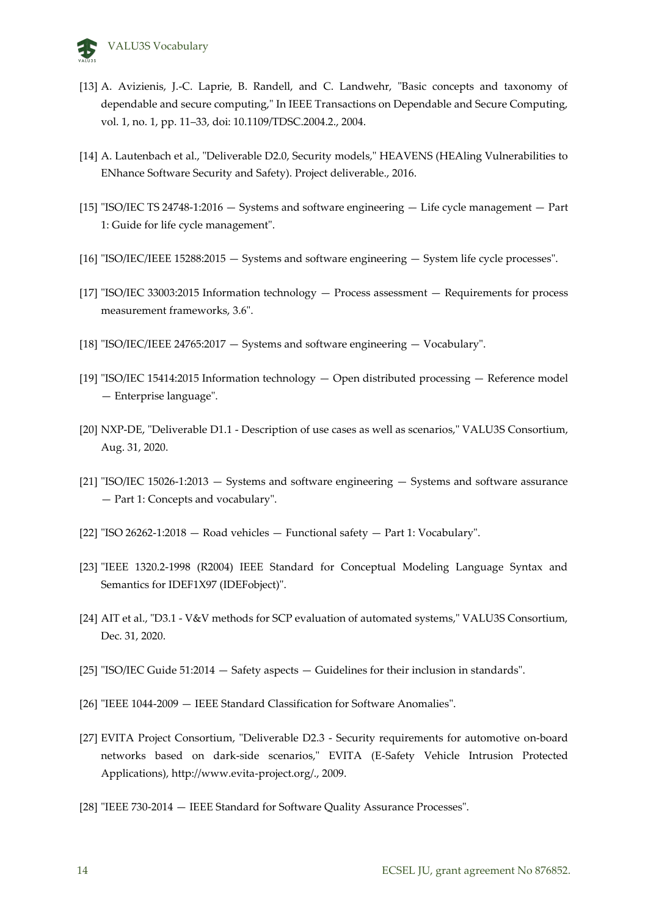

- [13] A. Avizienis, J.-C. Laprie, B. Randell, and C. Landwehr, "Basic concepts and taxonomy of dependable and secure computing," In IEEE Transactions on Dependable and Secure Computing, vol. 1, no. 1, pp. 11–33, doi: 10.1109/TDSC.2004.2., 2004.
- [14] A. Lautenbach et al., "Deliverable D2.0, Security models," HEAVENS (HEAling Vulnerabilities to ENhance Software Security and Safety). Project deliverable., 2016.
- [15] "ISO/IEC TS 24748-1:2016 Systems and software engineering Life cycle management Part 1: Guide for life cycle management".
- [16] "ISO/IEC/IEEE 15288:2015 Systems and software engineering System life cycle processes".
- [17] "ISO/IEC 33003:2015 Information technology Process assessment Requirements for process measurement frameworks, 3.6".
- [18] "ISO/IEC/IEEE 24765:2017 Systems and software engineering Vocabulary".
- [19] "ISO/IEC 15414:2015 Information technology Open distributed processing Reference model — Enterprise language".
- [20] NXP-DE, "Deliverable D1.1 Description of use cases as well as scenarios," VALU3S Consortium, Aug. 31, 2020.
- [21] "ISO/IEC 15026-1:2013 Systems and software engineering Systems and software assurance — Part 1: Concepts and vocabulary".
- [22] "ISO 26262-1:2018 Road vehicles Functional safety Part 1: Vocabulary".
- [23] "IEEE 1320.2-1998 (R2004) IEEE Standard for Conceptual Modeling Language Syntax and Semantics for IDEF1X97 (IDEFobject)".
- [24] AIT et al., "D3.1 V&V methods for SCP evaluation of automated systems," VALU3S Consortium, Dec. 31, 2020.
- [25] "ISO/IEC Guide 51:2014 Safety aspects Guidelines for their inclusion in standards".
- [26] "IEEE 1044-2009 IEEE Standard Classification for Software Anomalies".
- [27] EVITA Project Consortium, "Deliverable D2.3 Security requirements for automotive on-board networks based on dark-side scenarios," EVITA (E-Safety Vehicle Intrusion Protected Applications), http://www.evita-project.org/., 2009.
- [28] "IEEE 730-2014 IEEE Standard for Software Quality Assurance Processes".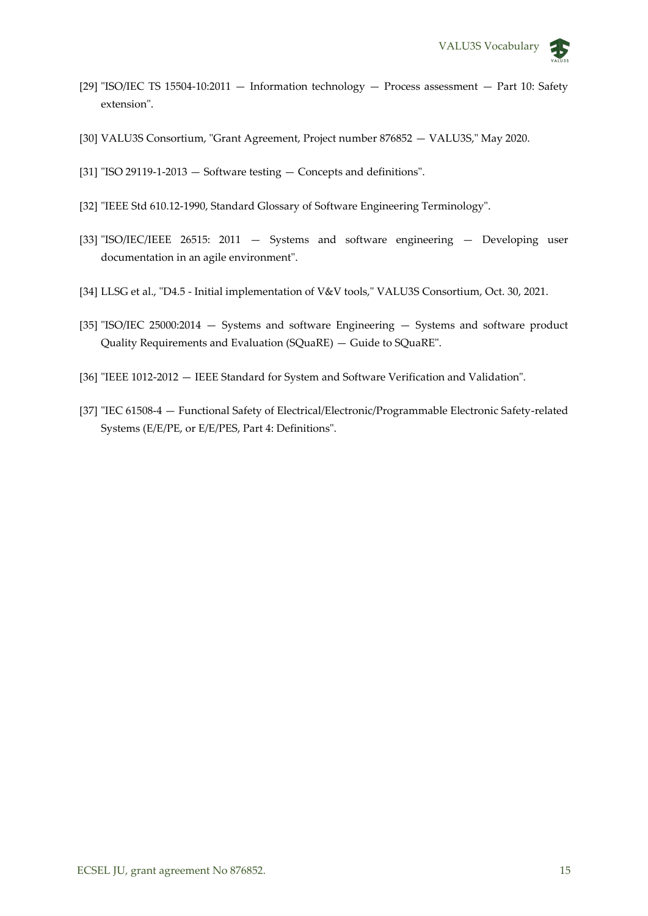- [29] "ISO/IEC TS 15504-10:2011 Information technology Process assessment Part 10: Safety extension".
- [30] VALU3S Consortium, "Grant Agreement, Project number 876852 VALU3S," May 2020.
- [31] "ISO 29119-1-2013 Software testing Concepts and definitions".
- [32] "IEEE Std 610.12-1990, Standard Glossary of Software Engineering Terminology".
- [33] "ISO/IEC/IEEE 26515: 2011 Systems and software engineering Developing user documentation in an agile environment".
- [34] LLSG et al., "D4.5 Initial implementation of V&V tools," VALU3S Consortium, Oct. 30, 2021.
- [35] "ISO/IEC 25000:2014 Systems and software Engineering Systems and software product Quality Requirements and Evaluation (SQuaRE) — Guide to SQuaRE".
- [36] "IEEE 1012-2012 IEEE Standard for System and Software Verification and Validation".
- [37] "IEC 61508-4 Functional Safety of Electrical/Electronic/Programmable Electronic Safety-related Systems (E/E/PE, or E/E/PES, Part 4: Definitions".